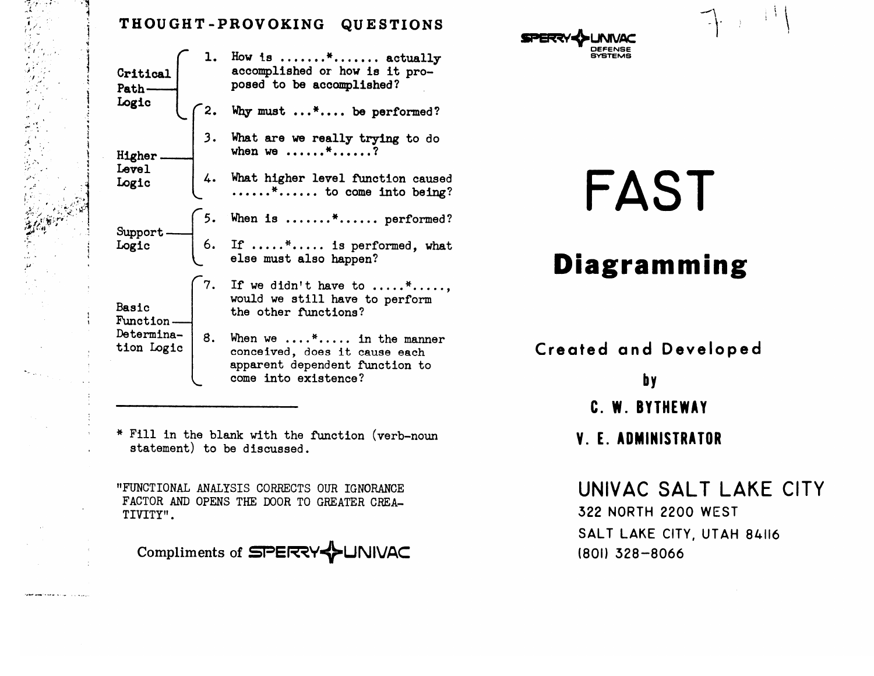## THOUGHT-PROVOKING QUESTIONS

1. How is  $\dots\dots$  \*....... actually accomplished or how is it pro-Critical posed to be accomplished? Path-Logic Why must ...\*.... be performed? 3. What are we really trying to do when we ......\*......? Higher. Level 4. What higher level function caused<br>.......\*...... to come into being? Logic When is .......\*...... performed? Support 6. If .....\*..... is performed, what<br>else must also happen? Logic If we didn't have to .....\*.....,<br>would we still have to perform Basic the other functions? Function. Determina-8. When we ....\*..... in the manner tion Logic conceived, does it cause each apparent dependent function to come into existence?

\* Fill in the blank with the function (verb-noun statement) to be discussed.

"FUNCTIONAL ANALYSIS CORRECTS OUR IGNORANCE FACTOR AND OPENS THE DOOR TO GREATER CREA-TIVITY".

Compliments of SPERRY **UNIVAC** 

## FAST

## **Diagramming**

**Created and Developed** 

**b**y

- C. W. BYTHEWAY
- **V. E. ADMINISTRATOR**

UNIVAC SALT LAKE CITY **322 NORTH 2200 WEST** SALT LAKE CITY, UTAH 84116

(801) 328-8066